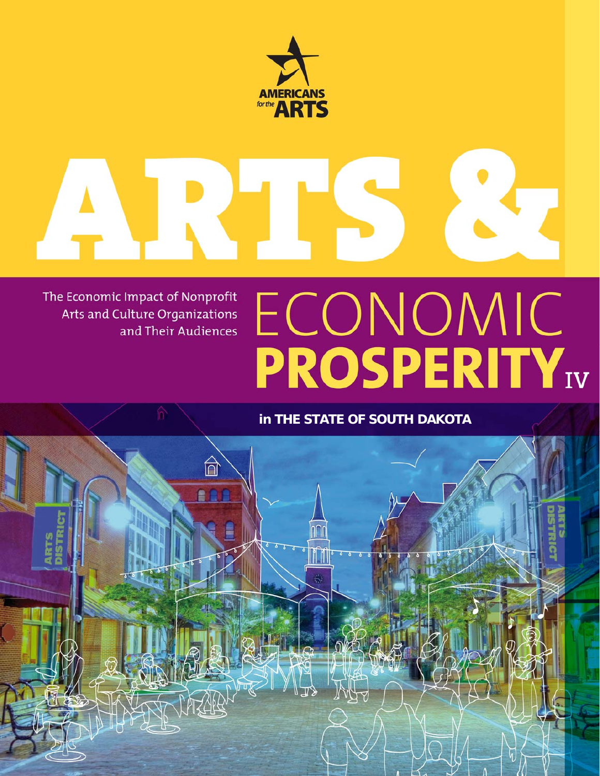

# $\frac{1}{1}$

The Economic Impact of Nonprofit Arts and Culture Organizations and Their Audiences

# ECONOMIC<br>PROSPERITY<sub>IV</sub>

## **in THE STATE OF SOUTH DAKOTA**

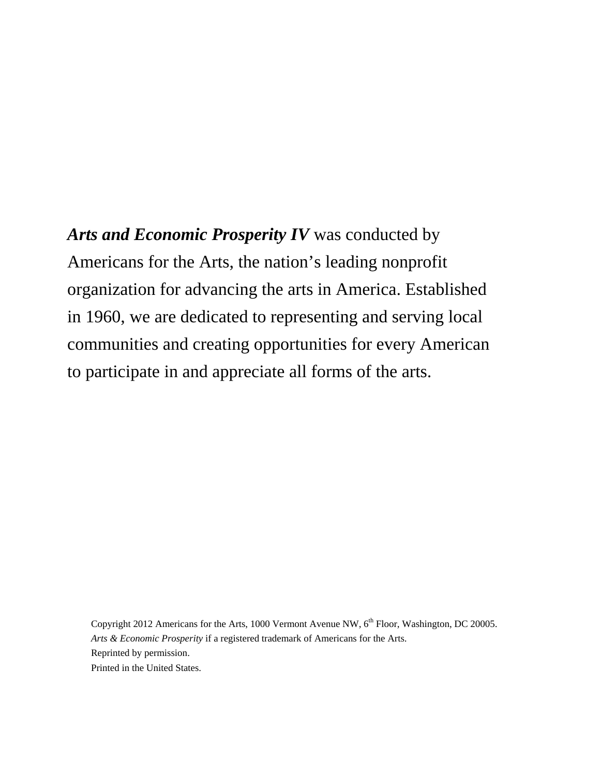*Arts and Economic Prosperity IV* was conducted by Americans for the Arts, the nation's leading nonprofit organization for advancing the arts in America. Established in 1960, we are dedicated to representing and serving local communities and creating opportunities for every American to participate in and appreciate all forms of the arts.

Copyright 2012 Americans for the Arts, 1000 Vermont Avenue NW, 6<sup>th</sup> Floor, Washington, DC 20005. *Arts & Economic Prosperity* if a registered trademark of Americans for the Arts. Reprinted by permission. Printed in the United States.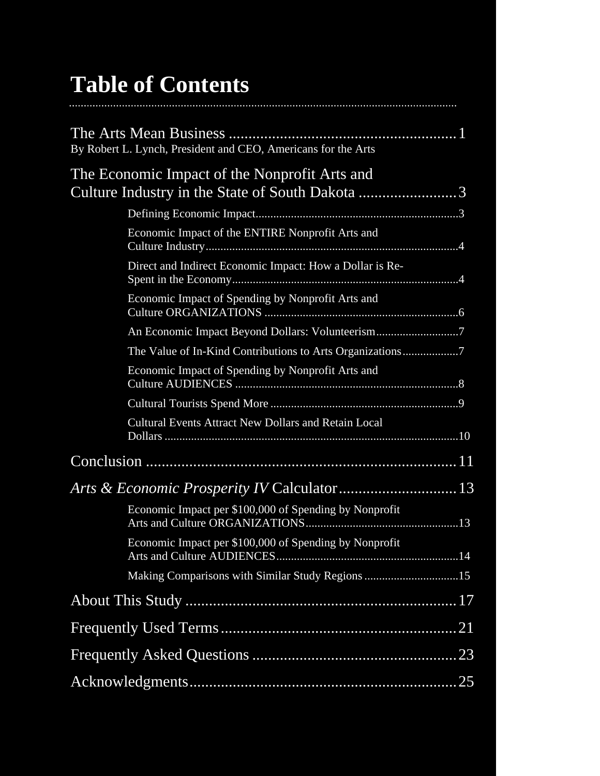# **Table of Contents**

| By Robert L. Lynch, President and CEO, Americans for the Arts                                    |
|--------------------------------------------------------------------------------------------------|
| The Economic Impact of the Nonprofit Arts and<br>Culture Industry in the State of South Dakota 3 |
|                                                                                                  |
| Economic Impact of the ENTIRE Nonprofit Arts and                                                 |
| Direct and Indirect Economic Impact: How a Dollar is Re-                                         |
| Economic Impact of Spending by Nonprofit Arts and                                                |
| An Economic Impact Beyond Dollars: Volunteerism7                                                 |
| The Value of In-Kind Contributions to Arts Organizations7                                        |
| Economic Impact of Spending by Nonprofit Arts and                                                |
|                                                                                                  |
| Cultural Events Attract New Dollars and Retain Local                                             |
|                                                                                                  |
|                                                                                                  |
| Economic Impact per \$100,000 of Spending by Nonprofit                                           |
| Economic Impact per \$100,000 of Spending by Nonprofit                                           |
| Making Comparisons with Similar Study Regions 15                                                 |
|                                                                                                  |
|                                                                                                  |
|                                                                                                  |
|                                                                                                  |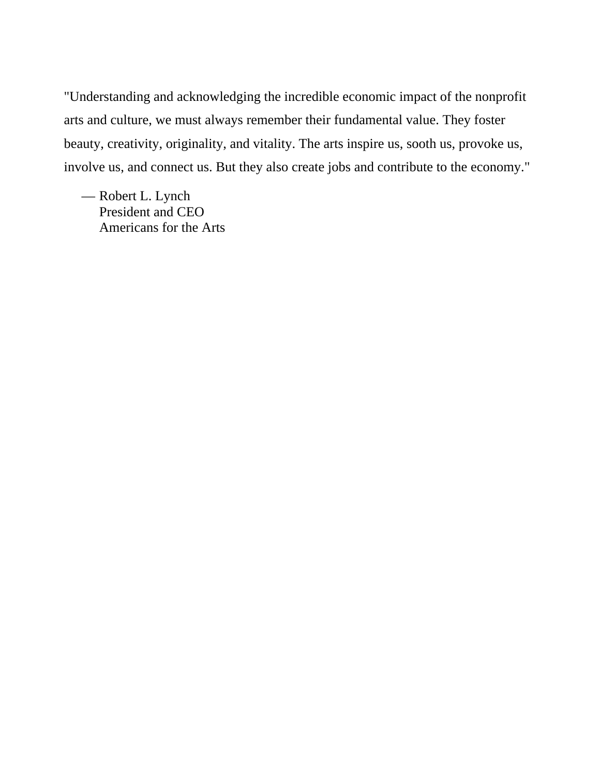"Understanding and acknowledging the incredible economic impact of the nonprofit arts and culture, we must always remember their fundamental value. They foster beauty, creativity, originality, and vitality. The arts inspire us, sooth us, provoke us, involve us, and connect us. But they also create jobs and contribute to the economy."

— Robert L. Lynch President and CEO Americans for the Arts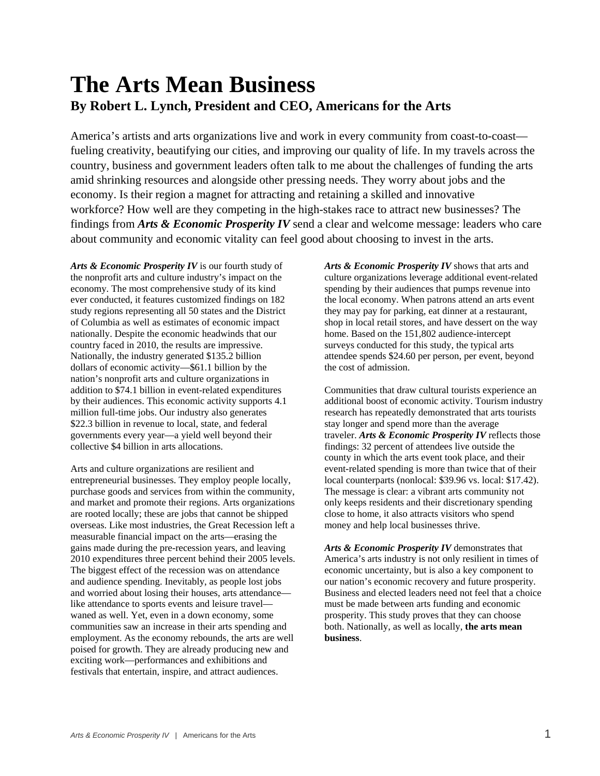## **The Arts Mean Business By Robert L. Lynch, President and CEO, Americans for the Arts**

America's artists and arts organizations live and work in every community from coast-to-coast fueling creativity, beautifying our cities, and improving our quality of life. In my travels across the country, business and government leaders often talk to me about the challenges of funding the arts amid shrinking resources and alongside other pressing needs. They worry about jobs and the economy. Is their region a magnet for attracting and retaining a skilled and innovative workforce? How well are they competing in the high-stakes race to attract new businesses? The findings from *Arts & Economic Prosperity IV* send a clear and welcome message: leaders who care about community and economic vitality can feel good about choosing to invest in the arts.

*Arts & Economic Prosperity IV* is our fourth study of the nonprofit arts and culture industry's impact on the economy. The most comprehensive study of its kind ever conducted, it features customized findings on 182 study regions representing all 50 states and the District of Columbia as well as estimates of economic impact nationally. Despite the economic headwinds that our country faced in 2010, the results are impressive. Nationally, the industry generated \$135.2 billion dollars of economic activity—\$61.1 billion by the nation's nonprofit arts and culture organizations in addition to \$74.1 billion in event-related expenditures by their audiences. This economic activity supports 4.1 million full-time jobs. Our industry also generates \$22.3 billion in revenue to local, state, and federal governments every year—a yield well beyond their collective \$4 billion in arts allocations.

Arts and culture organizations are resilient and entrepreneurial businesses. They employ people locally, purchase goods and services from within the community, and market and promote their regions. Arts organizations are rooted locally; these are jobs that cannot be shipped overseas. Like most industries, the Great Recession left a measurable financial impact on the arts—erasing the gains made during the pre-recession years, and leaving 2010 expenditures three percent behind their 2005 levels. The biggest effect of the recession was on attendance and audience spending. Inevitably, as people lost jobs and worried about losing their houses, arts attendance like attendance to sports events and leisure travel waned as well. Yet, even in a down economy, some communities saw an increase in their arts spending and employment. As the economy rebounds, the arts are well poised for growth. They are already producing new and exciting work—performances and exhibitions and festivals that entertain, inspire, and attract audiences.

*Arts & Economic Prosperity IV* shows that arts and culture organizations leverage additional event-related spending by their audiences that pumps revenue into the local economy. When patrons attend an arts event they may pay for parking, eat dinner at a restaurant, shop in local retail stores, and have dessert on the way home. Based on the 151,802 audience-intercept surveys conducted for this study, the typical arts attendee spends \$24.60 per person, per event, beyond the cost of admission.

Communities that draw cultural tourists experience an additional boost of economic activity. Tourism industry research has repeatedly demonstrated that arts tourists stay longer and spend more than the average traveler. *Arts & Economic Prosperity IV* reflects those findings: 32 percent of attendees live outside the county in which the arts event took place, and their event-related spending is more than twice that of their local counterparts (nonlocal: \$39.96 vs. local: \$17.42). The message is clear: a vibrant arts community not only keeps residents and their discretionary spending close to home, it also attracts visitors who spend money and help local businesses thrive.

*Arts & Economic Prosperity IV* demonstrates that America's arts industry is not only resilient in times of economic uncertainty, but is also a key component to our nation's economic recovery and future prosperity. Business and elected leaders need not feel that a choice must be made between arts funding and economic prosperity. This study proves that they can choose both. Nationally, as well as locally, **the arts mean business**.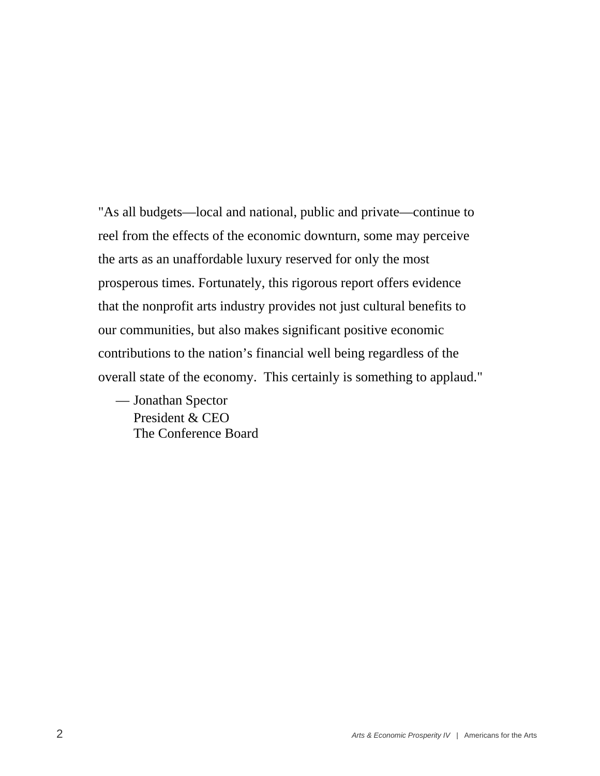"As all budgets—local and national, public and private—continue to reel from the effects of the economic downturn, some may perceive the arts as an unaffordable luxury reserved for only the most prosperous times. Fortunately, this rigorous report offers evidence that the nonprofit arts industry provides not just cultural benefits to our communities, but also makes significant positive economic contributions to the nation's financial well being regardless of the overall state of the economy. This certainly is something to applaud."

— Jonathan Spector President & CEO The Conference Board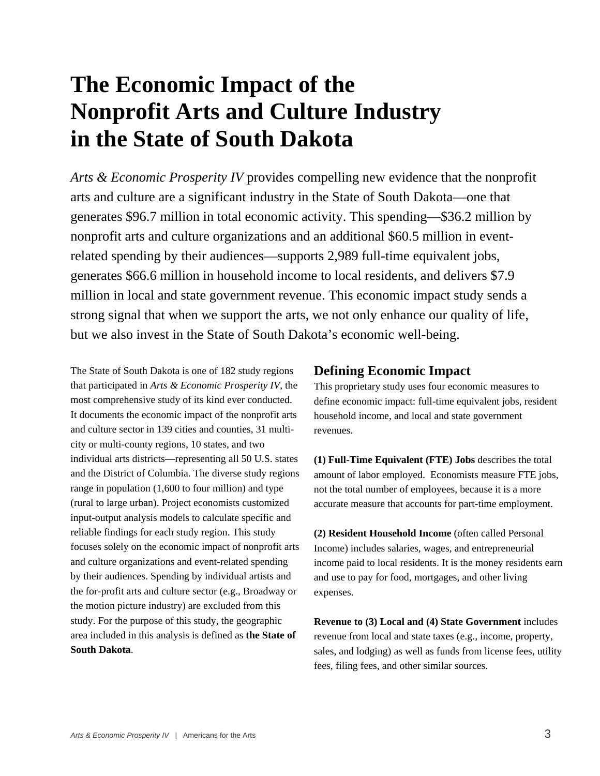# **The Economic Impact of the Nonprofit Arts and Culture Industry in the State of South Dakota**

*Arts & Economic Prosperity IV* provides compelling new evidence that the nonprofit arts and culture are a significant industry in the State of South Dakota—one that generates \$96.7 million in total economic activity. This spending—\$36.2 million by nonprofit arts and culture organizations and an additional \$60.5 million in eventrelated spending by their audiences—supports 2,989 full-time equivalent jobs, generates \$66.6 million in household income to local residents, and delivers \$7.9 million in local and state government revenue. This economic impact study sends a strong signal that when we support the arts, we not only enhance our quality of life, but we also invest in the State of South Dakota's economic well-being.

The State of South Dakota is one of 182 study regions that participated in *Arts & Economic Prosperity IV*, the most comprehensive study of its kind ever conducted. It documents the economic impact of the nonprofit arts and culture sector in 139 cities and counties, 31 multicity or multi-county regions, 10 states, and two individual arts districts—representing all 50 U.S. states and the District of Columbia. The diverse study regions range in population (1,600 to four million) and type (rural to large urban). Project economists customized input-output analysis models to calculate specific and reliable findings for each study region. This study focuses solely on the economic impact of nonprofit arts and culture organizations and event-related spending by their audiences. Spending by individual artists and the for-profit arts and culture sector (e.g., Broadway or the motion picture industry) are excluded from this study. For the purpose of this study, the geographic area included in this analysis is defined as **the State of South Dakota**.

#### **Defining Economic Impact**

This proprietary study uses four economic measures to define economic impact: full-time equivalent jobs, resident household income, and local and state government revenues.

**(1) Full-Time Equivalent (FTE) Jobs** describes the total amount of labor employed. Economists measure FTE jobs, not the total number of employees, because it is a more accurate measure that accounts for part-time employment.

**(2) Resident Household Income** (often called Personal Income) includes salaries, wages, and entrepreneurial income paid to local residents. It is the money residents earn and use to pay for food, mortgages, and other living expenses.

**Revenue to (3) Local and (4) State Government** includes revenue from local and state taxes (e.g., income, property, sales, and lodging) as well as funds from license fees, utility fees, filing fees, and other similar sources.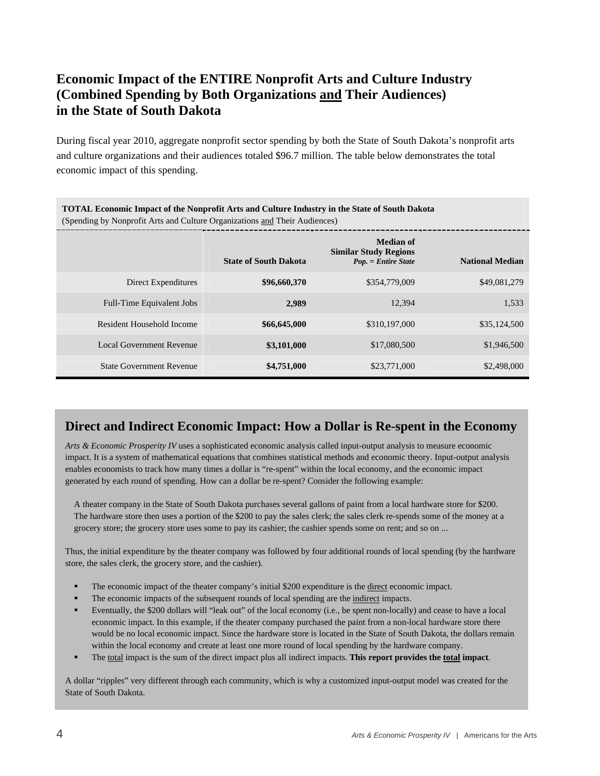## **Economic Impact of the ENTIRE Nonprofit Arts and Culture Industry (Combined Spending by Both Organizations and Their Audiences) in the State of South Dakota**

During fiscal year 2010, aggregate nonprofit sector spending by both the State of South Dakota's nonprofit arts and culture organizations and their audiences totaled \$96.7 million. The table below demonstrates the total economic impact of this spending.

| <b>TOTAL Economic Impact of the Nonprofit Arts and Culture Industry in the State of South Dakota</b><br>(Spending by Nonprofit Arts and Culture Organizations and Their Audiences) |                              |                                                                           |                        |  |
|------------------------------------------------------------------------------------------------------------------------------------------------------------------------------------|------------------------------|---------------------------------------------------------------------------|------------------------|--|
|                                                                                                                                                                                    | <b>State of South Dakota</b> | <b>Median of</b><br><b>Similar Study Regions</b><br>$Pop. = Entire State$ | <b>National Median</b> |  |
| Direct Expenditures                                                                                                                                                                | \$96,660,370                 | \$354,779,009                                                             | \$49,081,279           |  |
| Full-Time Equivalent Jobs                                                                                                                                                          | 2,989                        | 12,394                                                                    | 1,533                  |  |
| Resident Household Income                                                                                                                                                          | \$66,645,000                 | \$310,197,000                                                             | \$35,124,500           |  |
| <b>Local Government Revenue</b>                                                                                                                                                    | \$3,101,000                  | \$17,080,500                                                              | \$1,946,500            |  |
| <b>State Government Revenue</b>                                                                                                                                                    | \$4,751,000                  | \$23,771,000                                                              | \$2,498,000            |  |

#### **Direct and Indirect Economic Impact: How a Dollar is Re-spent in the Economy**

*Arts & Economic Prosperity IV* uses a sophisticated economic analysis called input-output analysis to measure economic impact. It is a system of mathematical equations that combines statistical methods and economic theory. Input-output analysis enables economists to track how many times a dollar is "re-spent" within the local economy, and the economic impact generated by each round of spending. How can a dollar be re-spent? Consider the following example:

A theater company in the State of South Dakota purchases several gallons of paint from a local hardware store for \$200. The hardware store then uses a portion of the \$200 to pay the sales clerk; the sales clerk re-spends some of the money at a grocery store; the grocery store uses some to pay its cashier; the cashier spends some on rent; and so on ...

Thus, the initial expenditure by the theater company was followed by four additional rounds of local spending (by the hardware store, the sales clerk, the grocery store, and the cashier).

- The economic impact of the theater company's initial \$200 expenditure is the direct economic impact.
- The economic impacts of the subsequent rounds of local spending are the indirect impacts.
- Eventually, the \$200 dollars will "leak out" of the local economy (i.e., be spent non-locally) and cease to have a local economic impact. In this example, if the theater company purchased the paint from a non-local hardware store there would be no local economic impact. Since the hardware store is located in the State of South Dakota, the dollars remain within the local economy and create at least one more round of local spending by the hardware company.
- The total impact is the sum of the direct impact plus all indirect impacts. **This report provides the total impact**.

A dollar "ripples" very different through each community, which is why a customized input-output model was created for the State of South Dakota.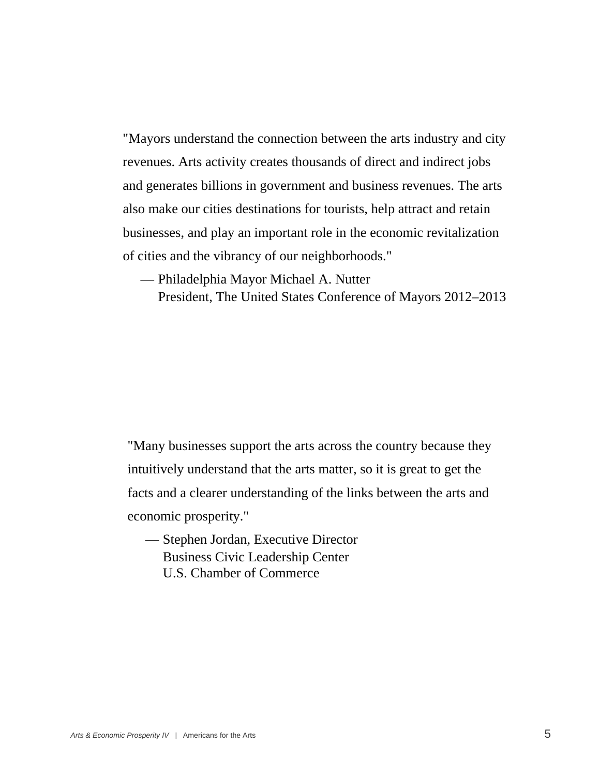"Mayors understand the connection between the arts industry and city revenues. Arts activity creates thousands of direct and indirect jobs and generates billions in government and business revenues. The arts also make our cities destinations for tourists, help attract and retain businesses, and play an important role in the economic revitalization of cities and the vibrancy of our neighborhoods."

- Philadelphia Mayor Michael A. Nutter
	- President, The United States Conference of Mayors 2012–2013

"Many businesses support the arts across the country because they intuitively understand that the arts matter, so it is great to get the facts and a clearer understanding of the links between the arts and economic prosperity."

— Stephen Jordan, Executive Director Business Civic Leadership Center U.S. Chamber of Commerce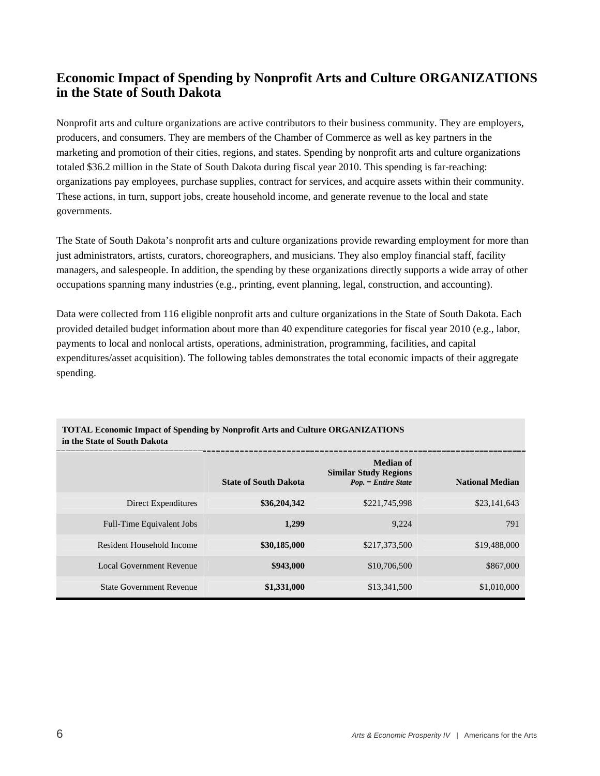#### **Economic Impact of Spending by Nonprofit Arts and Culture ORGANIZATIONS in the State of South Dakota**

Nonprofit arts and culture organizations are active contributors to their business community. They are employers, producers, and consumers. They are members of the Chamber of Commerce as well as key partners in the marketing and promotion of their cities, regions, and states. Spending by nonprofit arts and culture organizations totaled \$36.2 million in the State of South Dakota during fiscal year 2010. This spending is far-reaching: organizations pay employees, purchase supplies, contract for services, and acquire assets within their community. These actions, in turn, support jobs, create household income, and generate revenue to the local and state governments.

The State of South Dakota's nonprofit arts and culture organizations provide rewarding employment for more than just administrators, artists, curators, choreographers, and musicians. They also employ financial staff, facility managers, and salespeople. In addition, the spending by these organizations directly supports a wide array of other occupations spanning many industries (e.g., printing, event planning, legal, construction, and accounting).

Data were collected from 116 eligible nonprofit arts and culture organizations in the State of South Dakota. Each provided detailed budget information about more than 40 expenditure categories for fiscal year 2010 (e.g., labor, payments to local and nonlocal artists, operations, administration, programming, facilities, and capital expenditures/asset acquisition). The following tables demonstrates the total economic impacts of their aggregate spending.

|                                 | <b>State of South Dakota</b> | Median of<br><b>Similar Study Regions</b><br>Pop. = Entire State | <b>National Median</b> |
|---------------------------------|------------------------------|------------------------------------------------------------------|------------------------|
| Direct Expenditures             | \$36,204,342                 | \$221,745,998                                                    | \$23,141,643           |
| Full-Time Equivalent Jobs       | 1,299                        | 9.224                                                            | 791                    |
| Resident Household Income       | \$30,185,000                 | \$217,373,500                                                    | \$19,488,000           |
| Local Government Revenue        | \$943,000                    | \$10,706,500                                                     | \$867,000              |
| <b>State Government Revenue</b> | \$1,331,000                  | \$13,341,500                                                     | \$1,010,000            |

#### **TOTAL Economic Impact of Spending by Nonprofit Arts and Culture ORGANIZATIONS in the State of South Dakota**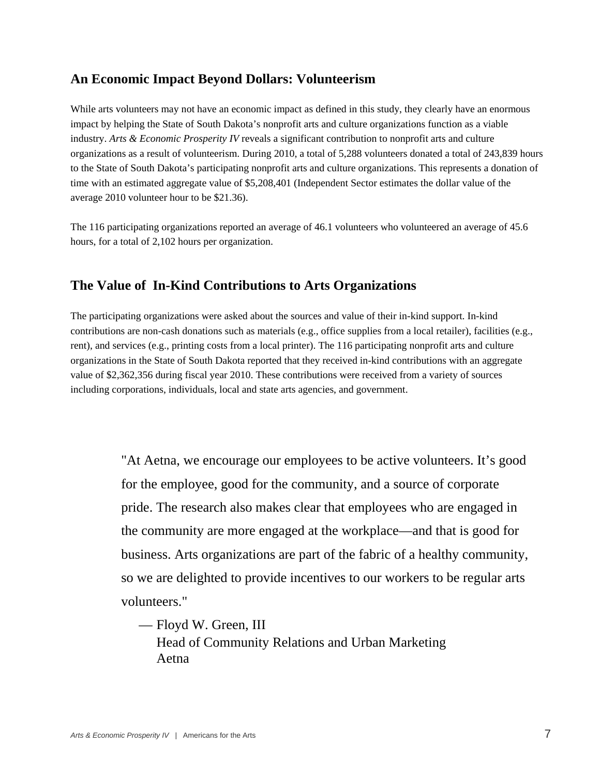#### **An Economic Impact Beyond Dollars: Volunteerism**

While arts volunteers may not have an economic impact as defined in this study, they clearly have an enormous impact by helping the State of South Dakota's nonprofit arts and culture organizations function as a viable industry. *Arts & Economic Prosperity IV* reveals a significant contribution to nonprofit arts and culture organizations as a result of volunteerism. During 2010, a total of 5,288 volunteers donated a total of 243,839 hours to the State of South Dakota's participating nonprofit arts and culture organizations. This represents a donation of time with an estimated aggregate value of \$5,208,401 (Independent Sector estimates the dollar value of the average 2010 volunteer hour to be \$21.36).

The 116 participating organizations reported an average of 46.1 volunteers who volunteered an average of 45.6 hours, for a total of 2,102 hours per organization.

#### **The Value of In-Kind Contributions to Arts Organizations**

The participating organizations were asked about the sources and value of their in-kind support. In-kind contributions are non-cash donations such as materials (e.g., office supplies from a local retailer), facilities (e.g., rent), and services (e.g., printing costs from a local printer). The 116 participating nonprofit arts and culture organizations in the State of South Dakota reported that they received in-kind contributions with an aggregate value of \$2,362,356 during fiscal year 2010. These contributions were received from a variety of sources including corporations, individuals, local and state arts agencies, and government.

> "At Aetna, we encourage our employees to be active volunteers. It's good for the employee, good for the community, and a source of corporate pride. The research also makes clear that employees who are engaged in the community are more engaged at the workplace—and that is good for business. Arts organizations are part of the fabric of a healthy community, so we are delighted to provide incentives to our workers to be regular arts volunteers."

— Floyd W. Green, III Head of Community Relations and Urban Marketing Aetna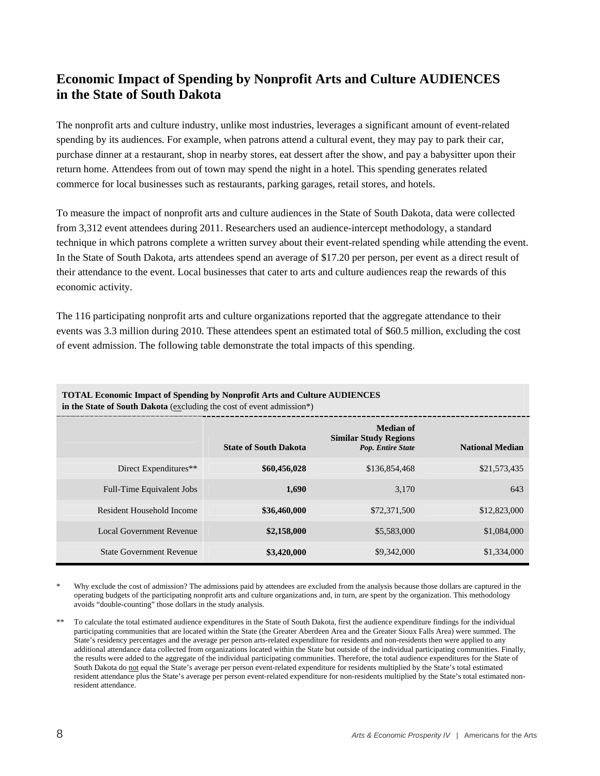## **Economic Impact of Spending by Nonprofit Arts and Culture AUDIENCES in the State of South Dakota**

The nonprofit arts and culture industry, unlike most industries, leverages a significant amount of event-related spending by its audiences. For example, when patrons attend a cultural event, they may pay to park their car, purchase dinner at a restaurant, shop in nearby stores, eat dessert after the show, and pay a babysitter upon their return home. Attendees from out of town may spend the night in a hotel. This spending generates related commerce for local businesses such as restaurants, parking garages, retail stores, and hotels.

To measure the impact of nonprofit arts and culture audiences in the State of South Dakota, data were collected from 3,312 event attendees during 2011. Researchers used an audience-intercept methodology, a standard technique in which patrons complete a written survey about their event-related spending while attending the event. In the State of South Dakota, arts attendees spend an average of \$17.20 per person, per event as a direct result of their attendance to the event. Local businesses that cater to arts and culture audiences reap the rewards of this economic activity.

The 116 participating nonprofit arts and culture organizations reported that the aggregate attendance to their events was 3.3 million during 2010. These attendees spent an estimated total of \$60.5 million, excluding the cost of event admission. The following table demonstrate the total impacts of this spending.

| In the state of south Danoia (Cachiumg the cost of event admission ) |                              |                                                                       |                        |  |
|----------------------------------------------------------------------|------------------------------|-----------------------------------------------------------------------|------------------------|--|
|                                                                      | <b>State of South Dakota</b> | <b>Median of</b><br><b>Similar Study Regions</b><br>Pop. Entire State | <b>National Median</b> |  |
| Direct Expenditures**                                                | \$60,456,028                 | \$136,854,468                                                         | \$21,573,435           |  |
| Full-Time Equivalent Jobs                                            | 1,690                        | 3.170                                                                 | 643                    |  |
| Resident Household Income                                            | \$36,460,000                 | \$72,371,500                                                          | \$12,823,000           |  |
| <b>Local Government Revenue</b>                                      | \$2,158,000                  | \$5,583,000                                                           | \$1,084,000            |  |
| <b>State Government Revenue</b>                                      | \$3,420,000                  | \$9,342,000                                                           | \$1,334,000            |  |

**TOTAL Economic Impact of Spending by Nonprofit Arts and Culture AUDIENCES in the State of South Dakota** (excluding the cost of event admission\*)

Why exclude the cost of admission? The admissions paid by attendees are excluded from the analysis because those dollars are captured in the operating budgets of the participating nonprofit arts and culture organizations and, in turn, are spent by the organization. This methodology avoids "double-counting" those dollars in the study analysis.

\*\* To calculate the total estimated audience expenditures in the State of South Dakota, first the audience expenditure findings for the individual participating communities that are located within the State (the Greater Aberdeen Area and the Greater Sioux Falls Area) were summed. The State's residency percentages and the average per person arts-related expenditure for residents and non-residents then were applied to any additional attendance data collected from organizations located within the State but outside of the individual participating communities. Finally, the results were added to the aggregate of the individual participating communities. Therefore, the total audience expenditures for the State of South Dakota do not equal the State's average per person event-related expenditure for residents multiplied by the State's total estimated resident attendance plus the State's average per person event-related expenditure for non-residents multiplied by the State's total estimated nonresident attendance.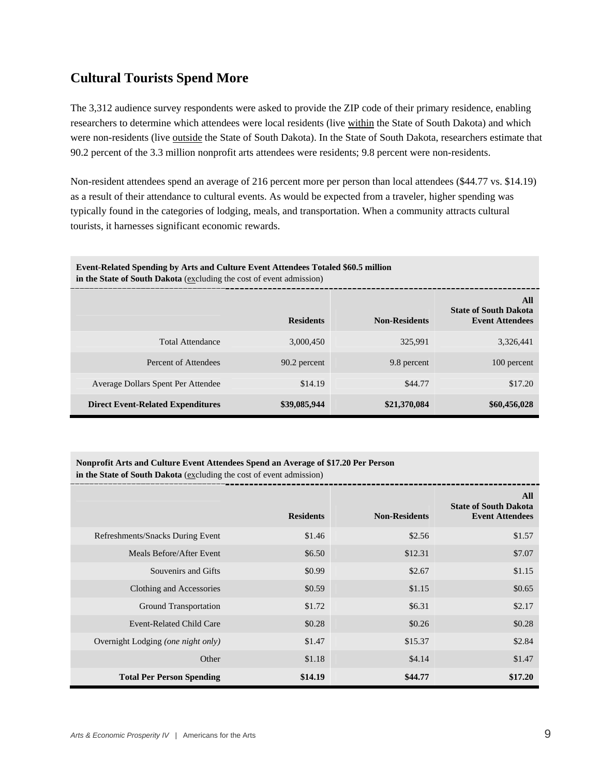#### **Cultural Tourists Spend More**

The 3,312 audience survey respondents were asked to provide the ZIP code of their primary residence, enabling researchers to determine which attendees were local residents (live within the State of South Dakota) and which were non-residents (live outside the State of South Dakota). In the State of South Dakota, researchers estimate that 90.2 percent of the 3.3 million nonprofit arts attendees were residents; 9.8 percent were non-residents.

Non-resident attendees spend an average of 216 percent more per person than local attendees (\$44.77 vs. \$14.19) as a result of their attendance to cultural events. As would be expected from a traveler, higher spending was typically found in the categories of lodging, meals, and transportation. When a community attracts cultural tourists, it harnesses significant economic rewards.

| Event-Related Spending by Arts and Culture Event Attendees Totaled \$60.5 million<br>in the State of South Dakota (excluding the cost of event admission) |                  |                      |                                                               |  |
|-----------------------------------------------------------------------------------------------------------------------------------------------------------|------------------|----------------------|---------------------------------------------------------------|--|
|                                                                                                                                                           | <b>Residents</b> | <b>Non-Residents</b> | All<br><b>State of South Dakota</b><br><b>Event Attendees</b> |  |
| <b>Total Attendance</b>                                                                                                                                   | 3.000.450        | 325.991              | 3,326,441                                                     |  |
| Percent of Attendees                                                                                                                                      | 90.2 percent     | 9.8 percent          | 100 percent                                                   |  |
| Average Dollars Spent Per Attendee                                                                                                                        | \$14.19          | \$44.77              | \$17.20                                                       |  |
| <b>Direct Event-Related Expenditures</b>                                                                                                                  | \$39,085,944     | \$21,370,084         | \$60,456,028                                                  |  |

#### **Nonprofit Arts and Culture Event Attendees Spend an Average of \$17.20 Per Person**

**in the State of South Dakota** (excluding the cost of event admission)

|                                    | <b>Residents</b> | <b>Non-Residents</b> | All<br><b>State of South Dakota</b><br><b>Event Attendees</b> |
|------------------------------------|------------------|----------------------|---------------------------------------------------------------|
| Refreshments/Snacks During Event   | \$1.46           | \$2.56               | \$1.57                                                        |
| Meals Before/After Event           | \$6.50           | \$12.31              | \$7.07                                                        |
| Souvenirs and Gifts                | \$0.99           | \$2.67               | \$1.15                                                        |
| Clothing and Accessories           | \$0.59           | \$1.15               | \$0.65                                                        |
| Ground Transportation              | \$1.72           | \$6.31               | \$2.17                                                        |
| Event-Related Child Care           | \$0.28           | \$0.26               | \$0.28                                                        |
| Overnight Lodging (one night only) | \$1.47           | \$15.37              | \$2.84                                                        |
| Other                              | \$1.18           | \$4.14               | \$1.47                                                        |
| <b>Total Per Person Spending</b>   | \$14.19          | \$44.77              | \$17.20                                                       |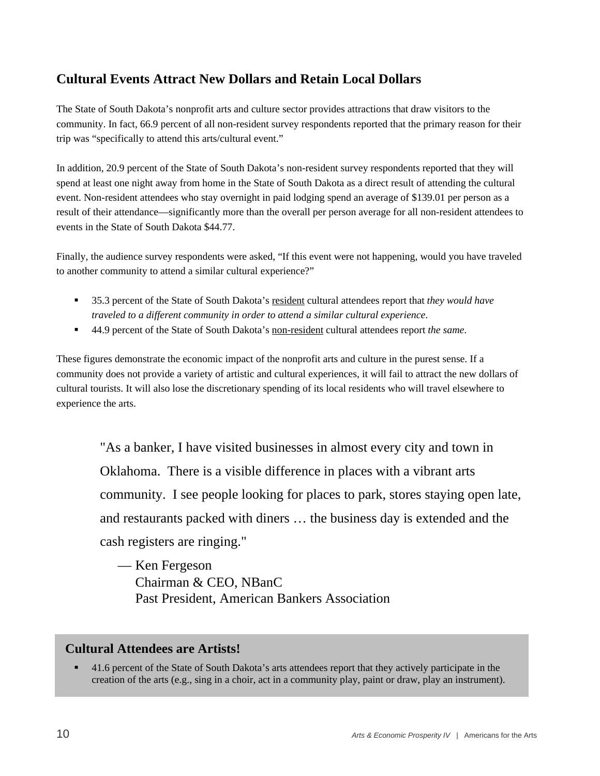#### **Cultural Events Attract New Dollars and Retain Local Dollars**

The State of South Dakota's nonprofit arts and culture sector provides attractions that draw visitors to the community. In fact, 66.9 percent of all non-resident survey respondents reported that the primary reason for their trip was "specifically to attend this arts/cultural event."

In addition, 20.9 percent of the State of South Dakota's non-resident survey respondents reported that they will spend at least one night away from home in the State of South Dakota as a direct result of attending the cultural event. Non-resident attendees who stay overnight in paid lodging spend an average of \$139.01 per person as a result of their attendance—significantly more than the overall per person average for all non-resident attendees to events in the State of South Dakota \$44.77.

Finally, the audience survey respondents were asked, "If this event were not happening, would you have traveled to another community to attend a similar cultural experience?"

- 35.3 percent of the State of South Dakota's resident cultural attendees report that *they would have traveled to a different community in order to attend a similar cultural experience*.
- 44.9 percent of the State of South Dakota's non-resident cultural attendees report *the same*.

These figures demonstrate the economic impact of the nonprofit arts and culture in the purest sense. If a community does not provide a variety of artistic and cultural experiences, it will fail to attract the new dollars of cultural tourists. It will also lose the discretionary spending of its local residents who will travel elsewhere to experience the arts.

"As a banker, I have visited businesses in almost every city and town in Oklahoma. There is a visible difference in places with a vibrant arts community. I see people looking for places to park, stores staying open late, and restaurants packed with diners … the business day is extended and the cash registers are ringing."

— Ken Fergeson Chairman & CEO, NBanC Past President, American Bankers Association

#### **Cultural Attendees are Artists!**

 41.6 percent of the State of South Dakota's arts attendees report that they actively participate in the creation of the arts (e.g., sing in a choir, act in a community play, paint or draw, play an instrument).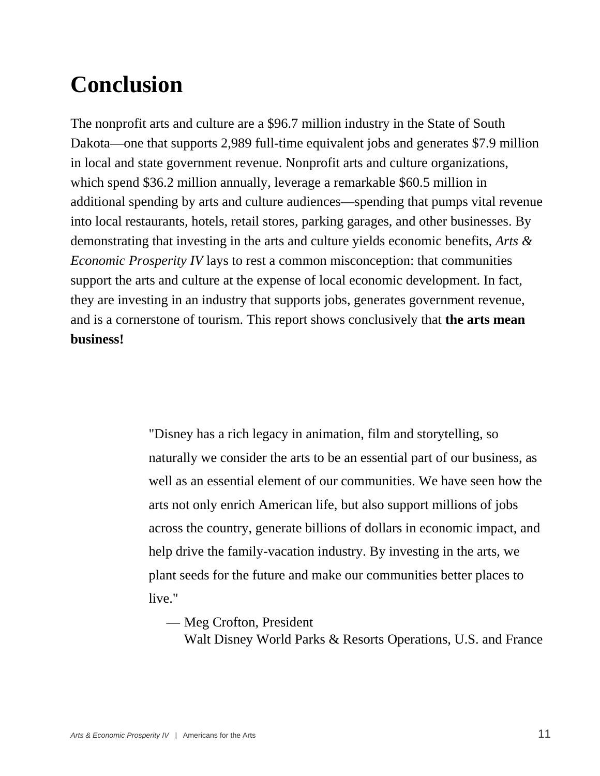# **Conclusion**

The nonprofit arts and culture are a \$96.7 million industry in the State of South Dakota—one that supports 2,989 full-time equivalent jobs and generates \$7.9 million in local and state government revenue. Nonprofit arts and culture organizations, which spend \$36.2 million annually, leverage a remarkable \$60.5 million in additional spending by arts and culture audiences—spending that pumps vital revenue into local restaurants, hotels, retail stores, parking garages, and other businesses. By demonstrating that investing in the arts and culture yields economic benefits, *Arts & Economic Prosperity IV* lays to rest a common misconception: that communities support the arts and culture at the expense of local economic development. In fact, they are investing in an industry that supports jobs, generates government revenue, and is a cornerstone of tourism. This report shows conclusively that **the arts mean business!**

> "Disney has a rich legacy in animation, film and storytelling, so naturally we consider the arts to be an essential part of our business, as well as an essential element of our communities. We have seen how the arts not only enrich American life, but also support millions of jobs across the country, generate billions of dollars in economic impact, and help drive the family-vacation industry. By investing in the arts, we plant seeds for the future and make our communities better places to live."

— Meg Crofton, President

Walt Disney World Parks & Resorts Operations, U.S. and France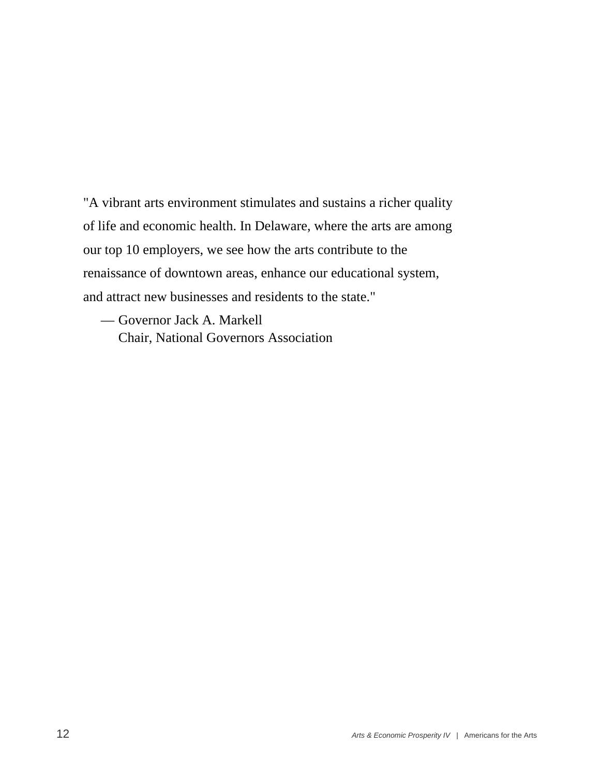"A vibrant arts environment stimulates and sustains a richer quality of life and economic health. In Delaware, where the arts are among our top 10 employers, we see how the arts contribute to the renaissance of downtown areas, enhance our educational system, and attract new businesses and residents to the state."

— Governor Jack A. Markell Chair, National Governors Association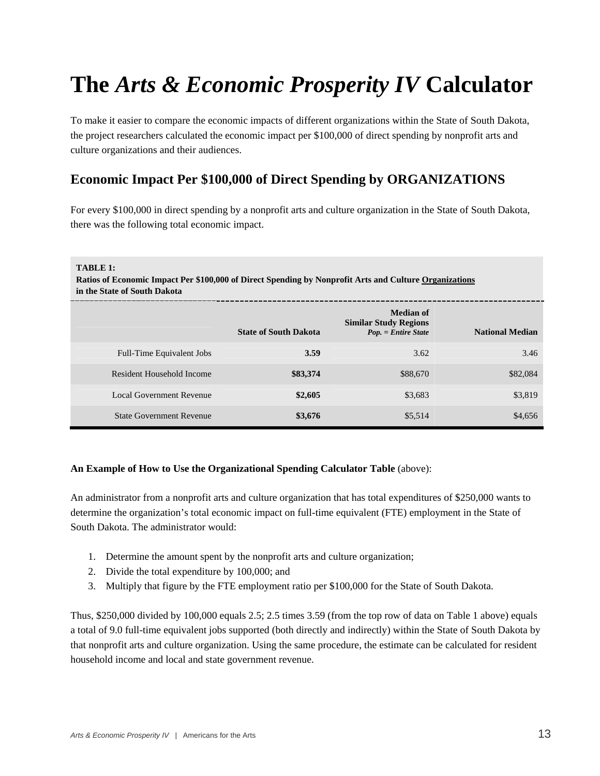# **The** *Arts & Economic Prosperity IV* **Calculator**

To make it easier to compare the economic impacts of different organizations within the State of South Dakota, the project researchers calculated the economic impact per \$100,000 of direct spending by nonprofit arts and culture organizations and their audiences.

## **Economic Impact Per \$100,000 of Direct Spending by ORGANIZATIONS**

For every \$100,000 in direct spending by a nonprofit arts and culture organization in the State of South Dakota, there was the following total economic impact.

#### **TABLE 1:**

**Ratios of Economic Impact Per \$100,000 of Direct Spending by Nonprofit Arts and Culture Organizations in the State of South Dakota** 

|                                 | <b>State of South Dakota</b> | <b>Median of</b><br><b>Similar Study Regions</b><br>Pop. = Entire State | <b>National Median</b> |
|---------------------------------|------------------------------|-------------------------------------------------------------------------|------------------------|
| Full-Time Equivalent Jobs       | 3.59                         | 3.62                                                                    | 3.46                   |
| Resident Household Income       | \$83,374                     | \$88,670                                                                | \$82,084               |
| Local Government Revenue        | \$2,605                      | \$3,683                                                                 | \$3,819                |
| <b>State Government Revenue</b> | \$3,676                      | \$5,514                                                                 | \$4,656                |

#### **An Example of How to Use the Organizational Spending Calculator Table** (above):

An administrator from a nonprofit arts and culture organization that has total expenditures of \$250,000 wants to determine the organization's total economic impact on full-time equivalent (FTE) employment in the State of South Dakota. The administrator would:

- 1. Determine the amount spent by the nonprofit arts and culture organization;
- 2. Divide the total expenditure by 100,000; and
- 3. Multiply that figure by the FTE employment ratio per \$100,000 for the State of South Dakota.

Thus, \$250,000 divided by 100,000 equals 2.5; 2.5 times 3.59 (from the top row of data on Table 1 above) equals a total of 9.0 full-time equivalent jobs supported (both directly and indirectly) within the State of South Dakota by that nonprofit arts and culture organization. Using the same procedure, the estimate can be calculated for resident household income and local and state government revenue.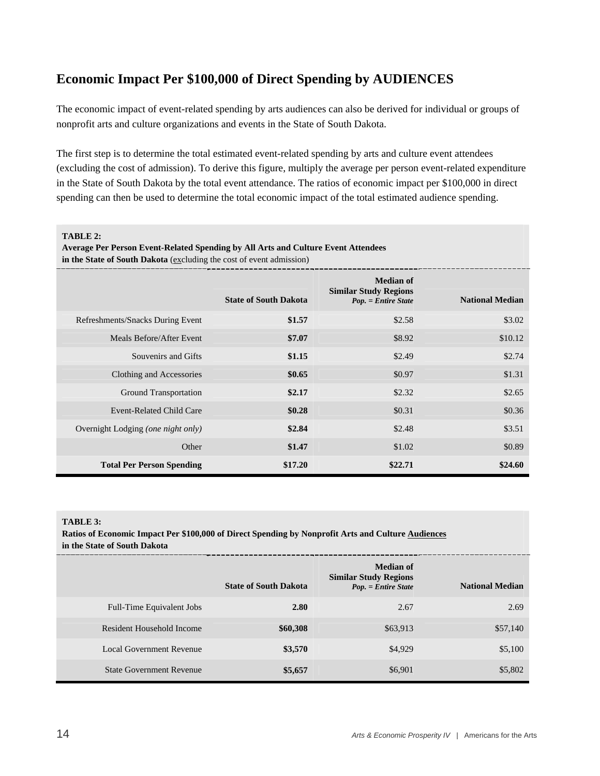#### **Economic Impact Per \$100,000 of Direct Spending by AUDIENCES**

The economic impact of event-related spending by arts audiences can also be derived for individual or groups of nonprofit arts and culture organizations and events in the State of South Dakota.

The first step is to determine the total estimated event-related spending by arts and culture event attendees (excluding the cost of admission). To derive this figure, multiply the average per person event-related expenditure in the State of South Dakota by the total event attendance. The ratios of economic impact per \$100,000 in direct spending can then be used to determine the total economic impact of the total estimated audience spending.

**TABLE 2:** 

|  |  | Average Per Person Event-Related Spending by All Arts and Culture Event Attendees |  |
|--|--|-----------------------------------------------------------------------------------|--|
|  |  |                                                                                   |  |

in the State of South Dakota (excluding the cost of event admission)

|                                    | <b>State of South Dakota</b> | <b>Median of</b><br><b>Similar Study Regions</b><br>Pop. = Entire State | <b>National Median</b> |
|------------------------------------|------------------------------|-------------------------------------------------------------------------|------------------------|
| Refreshments/Snacks During Event   | \$1.57                       | \$2.58                                                                  | \$3.02                 |
| Meals Before/After Event           | \$7.07                       | \$8.92                                                                  | \$10.12                |
| Souvenirs and Gifts                | \$1.15                       | \$2.49                                                                  | \$2.74                 |
| Clothing and Accessories           | \$0.65                       | \$0.97                                                                  | \$1.31                 |
| <b>Ground Transportation</b>       | \$2.17                       | \$2.32                                                                  | \$2.65                 |
| <b>Event-Related Child Care</b>    | \$0.28                       | \$0.31                                                                  | \$0.36                 |
| Overnight Lodging (one night only) | \$2.84                       | \$2.48                                                                  | \$3.51                 |
| Other                              | \$1.47                       | \$1.02                                                                  | \$0.89                 |
| <b>Total Per Person Spending</b>   | \$17.20                      | \$22.71                                                                 | \$24.60                |

#### **TABLE 3:**

**Ratios of Economic Impact Per \$100,000 of Direct Spending by Nonprofit Arts and Culture Audiences in the State of South Dakota** 

|                                 | <b>State of South Dakota</b> | <b>Median of</b><br><b>Similar Study Regions</b><br>Pop. = Entire State | <b>National Median</b> |
|---------------------------------|------------------------------|-------------------------------------------------------------------------|------------------------|
| Full-Time Equivalent Jobs       | 2.80                         | 2.67                                                                    | 2.69                   |
| Resident Household Income       | \$60,308                     | \$63,913                                                                | \$57,140               |
| Local Government Revenue        | \$3,570                      | \$4,929                                                                 | \$5,100                |
| <b>State Government Revenue</b> | \$5,657                      | \$6,901                                                                 | \$5,802                |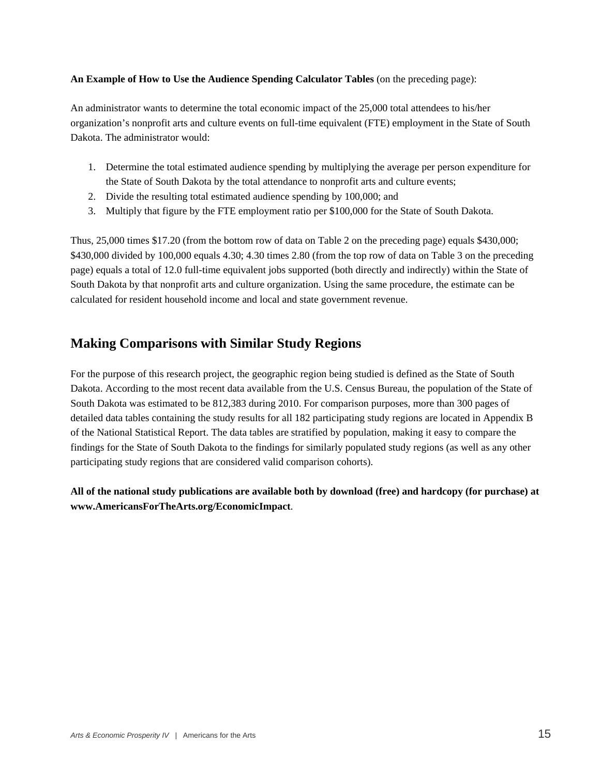#### **An Example of How to Use the Audience Spending Calculator Tables** (on the preceding page):

An administrator wants to determine the total economic impact of the 25,000 total attendees to his/her organization's nonprofit arts and culture events on full-time equivalent (FTE) employment in the State of South Dakota. The administrator would:

- 1. Determine the total estimated audience spending by multiplying the average per person expenditure for the State of South Dakota by the total attendance to nonprofit arts and culture events;
- 2. Divide the resulting total estimated audience spending by 100,000; and
- 3. Multiply that figure by the FTE employment ratio per \$100,000 for the State of South Dakota.

Thus, 25,000 times \$17.20 (from the bottom row of data on Table 2 on the preceding page) equals \$430,000; \$430,000 divided by 100,000 equals 4.30; 4.30 times 2.80 (from the top row of data on Table 3 on the preceding page) equals a total of 12.0 full-time equivalent jobs supported (both directly and indirectly) within the State of South Dakota by that nonprofit arts and culture organization. Using the same procedure, the estimate can be calculated for resident household income and local and state government revenue.

#### **Making Comparisons with Similar Study Regions**

For the purpose of this research project, the geographic region being studied is defined as the State of South Dakota. According to the most recent data available from the U.S. Census Bureau, the population of the State of South Dakota was estimated to be 812,383 during 2010. For comparison purposes, more than 300 pages of detailed data tables containing the study results for all 182 participating study regions are located in Appendix B of the National Statistical Report. The data tables are stratified by population, making it easy to compare the findings for the State of South Dakota to the findings for similarly populated study regions (as well as any other participating study regions that are considered valid comparison cohorts).

**All of the national study publications are available both by download (free) and hardcopy (for purchase) at www.AmericansForTheArts.org/EconomicImpact**.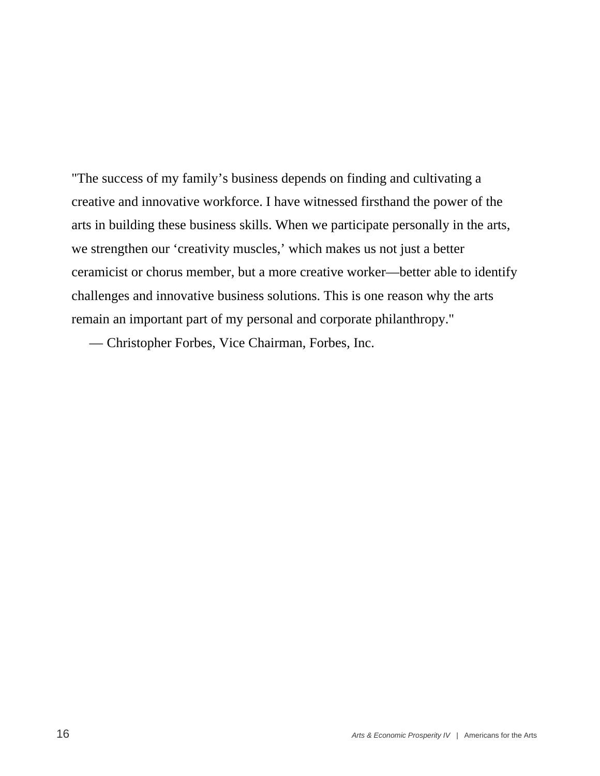"The success of my family's business depends on finding and cultivating a creative and innovative workforce. I have witnessed firsthand the power of the arts in building these business skills. When we participate personally in the arts, we strengthen our 'creativity muscles,' which makes us not just a better ceramicist or chorus member, but a more creative worker—better able to identify challenges and innovative business solutions. This is one reason why the arts remain an important part of my personal and corporate philanthropy."

— Christopher Forbes, Vice Chairman, Forbes, Inc.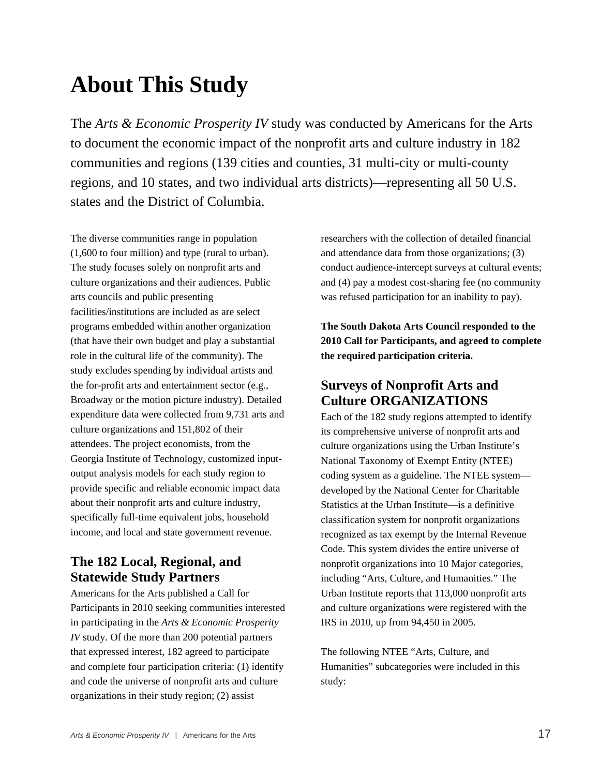# **About This Study**

The *Arts & Economic Prosperity IV* study was conducted by Americans for the Arts to document the economic impact of the nonprofit arts and culture industry in 182 communities and regions (139 cities and counties, 31 multi-city or multi-county regions, and 10 states, and two individual arts districts)—representing all 50 U.S. states and the District of Columbia.

The diverse communities range in population (1,600 to four million) and type (rural to urban). The study focuses solely on nonprofit arts and culture organizations and their audiences. Public arts councils and public presenting facilities/institutions are included as are select programs embedded within another organization (that have their own budget and play a substantial role in the cultural life of the community). The study excludes spending by individual artists and the for-profit arts and entertainment sector (e.g., Broadway or the motion picture industry). Detailed expenditure data were collected from 9,731 arts and culture organizations and 151,802 of their attendees. The project economists, from the Georgia Institute of Technology, customized inputoutput analysis models for each study region to provide specific and reliable economic impact data about their nonprofit arts and culture industry, specifically full-time equivalent jobs, household income, and local and state government revenue.

#### **The 182 Local, Regional, and Statewide Study Partners**

Americans for the Arts published a Call for Participants in 2010 seeking communities interested in participating in the *Arts & Economic Prosperity IV* study. Of the more than 200 potential partners that expressed interest, 182 agreed to participate and complete four participation criteria: (1) identify and code the universe of nonprofit arts and culture organizations in their study region; (2) assist

researchers with the collection of detailed financial and attendance data from those organizations; (3) conduct audience-intercept surveys at cultural events; and (4) pay a modest cost-sharing fee (no community was refused participation for an inability to pay).

**The South Dakota Arts Council responded to the 2010 Call for Participants, and agreed to complete the required participation criteria.** 

#### **Surveys of Nonprofit Arts and Culture ORGANIZATIONS**

Each of the 182 study regions attempted to identify its comprehensive universe of nonprofit arts and culture organizations using the Urban Institute's National Taxonomy of Exempt Entity (NTEE) coding system as a guideline. The NTEE system developed by the National Center for Charitable Statistics at the Urban Institute—is a definitive classification system for nonprofit organizations recognized as tax exempt by the Internal Revenue Code. This system divides the entire universe of nonprofit organizations into 10 Major categories, including "Arts, Culture, and Humanities." The Urban Institute reports that 113,000 nonprofit arts and culture organizations were registered with the IRS in 2010, up from 94,450 in 2005.

The following NTEE "Arts, Culture, and Humanities" subcategories were included in this study: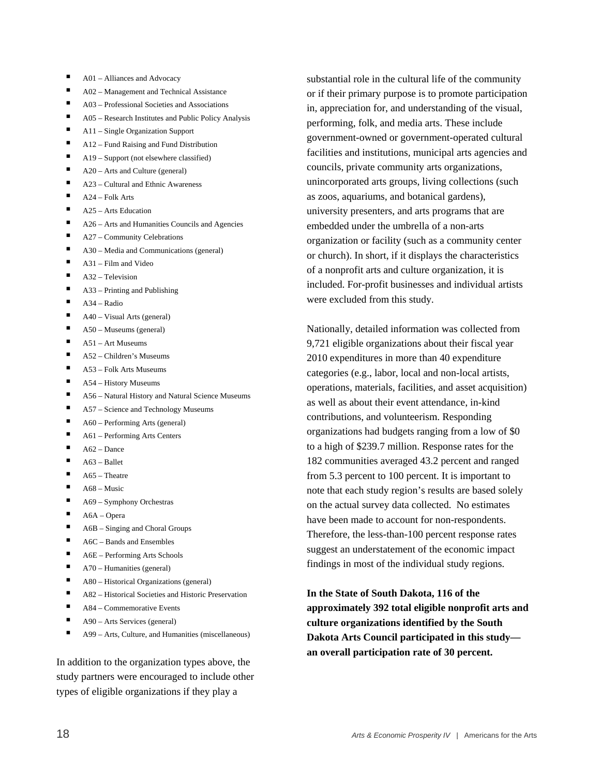- A01 Alliances and Advocacy
- A02 Management and Technical Assistance
- A03 Professional Societies and Associations
- A05 Research Institutes and Public Policy Analysis
- A11 Single Organization Support
- A12 Fund Raising and Fund Distribution
- A19 Support (not elsewhere classified)
- A20 Arts and Culture (general)
- A23 Cultural and Ethnic Awareness
- A24 Folk Arts
- $\blacksquare$  A25 Arts Education
- A26 Arts and Humanities Councils and Agencies
- A27 Community Celebrations
- A30 Media and Communications (general)
- A31 Film and Video
- A32 Television
- A33 Printing and Publishing
- A34 Radio
- A40 Visual Arts (general)
- A50 Museums (general)
- A51 Art Museums
- A52 Children's Museums
- A53 Folk Arts Museums
- A54 History Museums
- A56 Natural History and Natural Science Museums
- A57 Science and Technology Museums
- $\blacksquare$  A60 Performing Arts (general)
- A61 Performing Arts Centers
- A62 Dance
- A63 Ballet
- A65 Theatre
- A68 Music
- A69 Symphony Orchestras
- A6A Opera
- A6B Singing and Choral Groups
- $\blacksquare$  A6C Bands and Ensembles
- A6E Performing Arts Schools
- A70 Humanities (general)
- A80 Historical Organizations (general)
- A82 Historical Societies and Historic Preservation
- A84 Commemorative Events
- A90 Arts Services (general)
- $\blacksquare$  A99 Arts, Culture, and Humanities (miscellaneous)

In addition to the organization types above, the study partners were encouraged to include other types of eligible organizations if they play a

substantial role in the cultural life of the community or if their primary purpose is to promote participation in, appreciation for, and understanding of the visual, performing, folk, and media arts. These include government-owned or government-operated cultural facilities and institutions, municipal arts agencies and councils, private community arts organizations, unincorporated arts groups, living collections (such as zoos, aquariums, and botanical gardens), university presenters, and arts programs that are embedded under the umbrella of a non-arts organization or facility (such as a community center or church). In short, if it displays the characteristics of a nonprofit arts and culture organization, it is included. For-profit businesses and individual artists were excluded from this study.

Nationally, detailed information was collected from 9,721 eligible organizations about their fiscal year 2010 expenditures in more than 40 expenditure categories (e.g., labor, local and non-local artists, operations, materials, facilities, and asset acquisition) as well as about their event attendance, in-kind contributions, and volunteerism. Responding organizations had budgets ranging from a low of \$0 to a high of \$239.7 million. Response rates for the 182 communities averaged 43.2 percent and ranged from 5.3 percent to 100 percent. It is important to note that each study region's results are based solely on the actual survey data collected. No estimates have been made to account for non-respondents. Therefore, the less-than-100 percent response rates suggest an understatement of the economic impact findings in most of the individual study regions.

**In the State of South Dakota, 116 of the approximately 392 total eligible nonprofit arts and culture organizations identified by the South Dakota Arts Council participated in this study an overall participation rate of 30 percent.**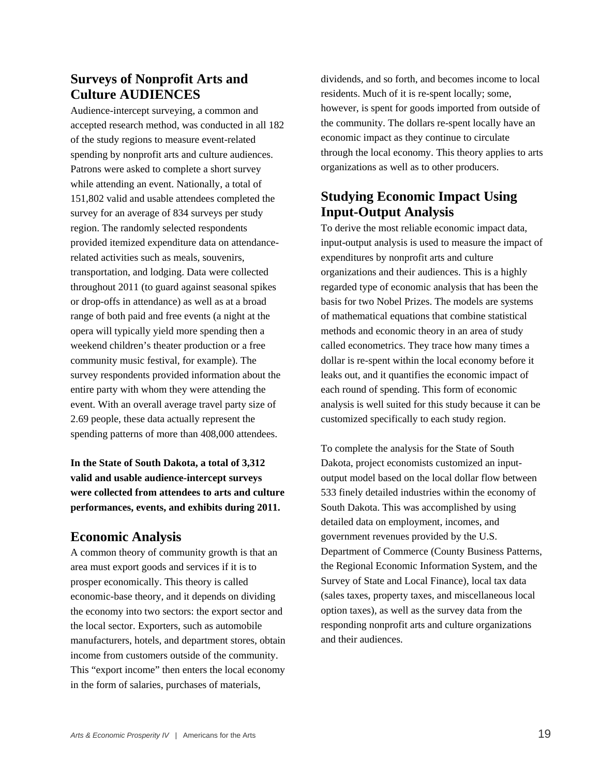## **Surveys of Nonprofit Arts and Culture AUDIENCES**

Audience-intercept surveying, a common and accepted research method, was conducted in all 182 of the study regions to measure event-related spending by nonprofit arts and culture audiences. Patrons were asked to complete a short survey while attending an event. Nationally, a total of 151,802 valid and usable attendees completed the survey for an average of 834 surveys per study region. The randomly selected respondents provided itemized expenditure data on attendancerelated activities such as meals, souvenirs, transportation, and lodging. Data were collected throughout 2011 (to guard against seasonal spikes or drop-offs in attendance) as well as at a broad range of both paid and free events (a night at the opera will typically yield more spending then a weekend children's theater production or a free community music festival, for example). The survey respondents provided information about the entire party with whom they were attending the event. With an overall average travel party size of 2.69 people, these data actually represent the spending patterns of more than 408,000 attendees.

#### **In the State of South Dakota, a total of 3,312 valid and usable audience-intercept surveys were collected from attendees to arts and culture performances, events, and exhibits during 2011.**

#### **Economic Analysis**

A common theory of community growth is that an area must export goods and services if it is to prosper economically. This theory is called economic-base theory, and it depends on dividing the economy into two sectors: the export sector and the local sector. Exporters, such as automobile manufacturers, hotels, and department stores, obtain income from customers outside of the community. This "export income" then enters the local economy in the form of salaries, purchases of materials,

dividends, and so forth, and becomes income to local residents. Much of it is re-spent locally; some, however, is spent for goods imported from outside of the community. The dollars re-spent locally have an economic impact as they continue to circulate through the local economy. This theory applies to arts organizations as well as to other producers.

#### **Studying Economic Impact Using Input-Output Analysis**

To derive the most reliable economic impact data, input-output analysis is used to measure the impact of expenditures by nonprofit arts and culture organizations and their audiences. This is a highly regarded type of economic analysis that has been the basis for two Nobel Prizes. The models are systems of mathematical equations that combine statistical methods and economic theory in an area of study called econometrics. They trace how many times a dollar is re-spent within the local economy before it leaks out, and it quantifies the economic impact of each round of spending. This form of economic analysis is well suited for this study because it can be customized specifically to each study region.

To complete the analysis for the State of South Dakota, project economists customized an inputoutput model based on the local dollar flow between 533 finely detailed industries within the economy of South Dakota. This was accomplished by using detailed data on employment, incomes, and government revenues provided by the U.S. Department of Commerce (County Business Patterns, the Regional Economic Information System, and the Survey of State and Local Finance), local tax data (sales taxes, property taxes, and miscellaneous local option taxes), as well as the survey data from the responding nonprofit arts and culture organizations and their audiences.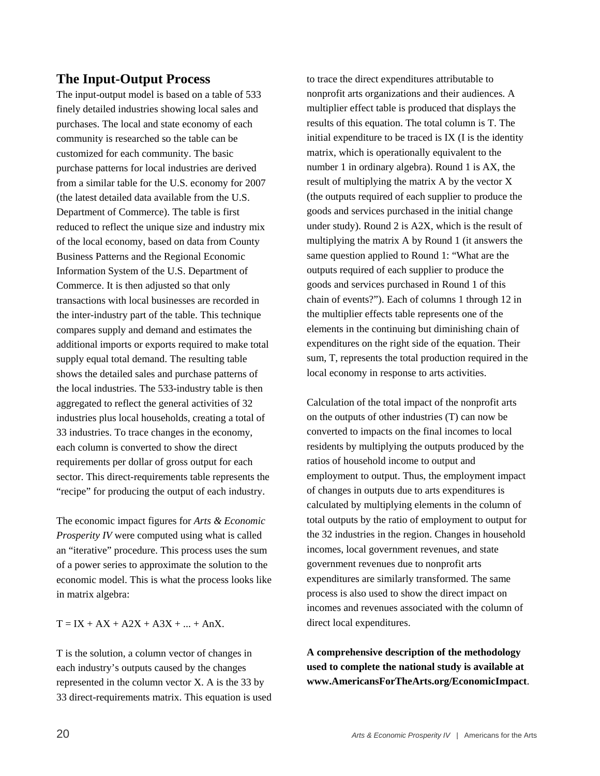#### **The Input-Output Process**

The input-output model is based on a table of 533 finely detailed industries showing local sales and purchases. The local and state economy of each community is researched so the table can be customized for each community. The basic purchase patterns for local industries are derived from a similar table for the U.S. economy for 2007 (the latest detailed data available from the U.S. Department of Commerce). The table is first reduced to reflect the unique size and industry mix of the local economy, based on data from County Business Patterns and the Regional Economic Information System of the U.S. Department of Commerce. It is then adjusted so that only transactions with local businesses are recorded in the inter-industry part of the table. This technique compares supply and demand and estimates the additional imports or exports required to make total supply equal total demand. The resulting table shows the detailed sales and purchase patterns of the local industries. The 533-industry table is then aggregated to reflect the general activities of 32 industries plus local households, creating a total of 33 industries. To trace changes in the economy, each column is converted to show the direct requirements per dollar of gross output for each sector. This direct-requirements table represents the "recipe" for producing the output of each industry.

The economic impact figures for *Arts & Economic Prosperity IV* were computed using what is called an "iterative" procedure. This process uses the sum of a power series to approximate the solution to the economic model. This is what the process looks like in matrix algebra:

 $T = IX + AX + A2X + A3X + ... + AnX.$ 

T is the solution, a column vector of changes in each industry's outputs caused by the changes represented in the column vector X. A is the 33 by 33 direct-requirements matrix. This equation is used to trace the direct expenditures attributable to nonprofit arts organizations and their audiences. A multiplier effect table is produced that displays the results of this equation. The total column is T. The initial expenditure to be traced is IX (I is the identity matrix, which is operationally equivalent to the number 1 in ordinary algebra). Round 1 is AX, the result of multiplying the matrix A by the vector X (the outputs required of each supplier to produce the goods and services purchased in the initial change under study). Round 2 is A2X, which is the result of multiplying the matrix A by Round 1 (it answers the same question applied to Round 1: "What are the outputs required of each supplier to produce the goods and services purchased in Round 1 of this chain of events?"). Each of columns 1 through 12 in the multiplier effects table represents one of the elements in the continuing but diminishing chain of expenditures on the right side of the equation. Their sum, T, represents the total production required in the local economy in response to arts activities.

Calculation of the total impact of the nonprofit arts on the outputs of other industries (T) can now be converted to impacts on the final incomes to local residents by multiplying the outputs produced by the ratios of household income to output and employment to output. Thus, the employment impact of changes in outputs due to arts expenditures is calculated by multiplying elements in the column of total outputs by the ratio of employment to output for the 32 industries in the region. Changes in household incomes, local government revenues, and state government revenues due to nonprofit arts expenditures are similarly transformed. The same process is also used to show the direct impact on incomes and revenues associated with the column of direct local expenditures.

**A comprehensive description of the methodology used to complete the national study is available at www.AmericansForTheArts.org/EconomicImpact**.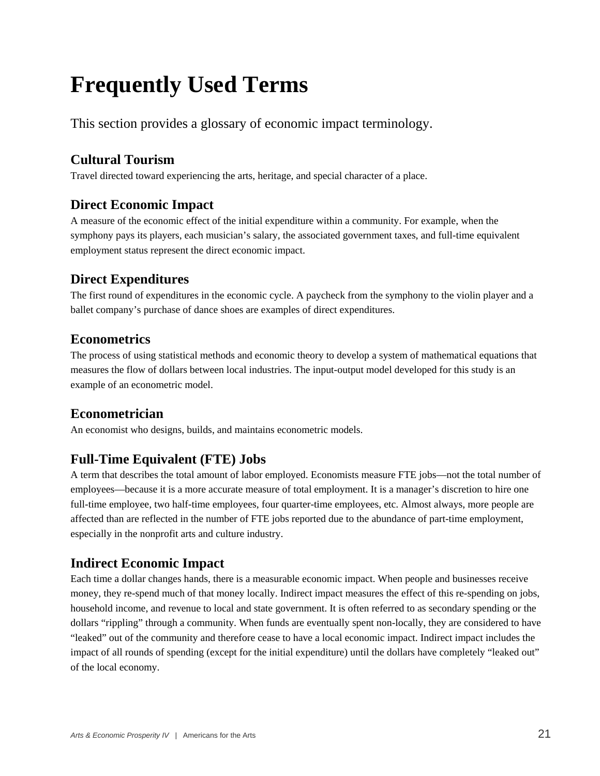# **Frequently Used Terms**

This section provides a glossary of economic impact terminology.

## **Cultural Tourism**

Travel directed toward experiencing the arts, heritage, and special character of a place.

#### **Direct Economic Impact**

A measure of the economic effect of the initial expenditure within a community. For example, when the symphony pays its players, each musician's salary, the associated government taxes, and full-time equivalent employment status represent the direct economic impact.

## **Direct Expenditures**

The first round of expenditures in the economic cycle. A paycheck from the symphony to the violin player and a ballet company's purchase of dance shoes are examples of direct expenditures.

#### **Econometrics**

The process of using statistical methods and economic theory to develop a system of mathematical equations that measures the flow of dollars between local industries. The input-output model developed for this study is an example of an econometric model.

## **Econometrician**

An economist who designs, builds, and maintains econometric models.

## **Full-Time Equivalent (FTE) Jobs**

A term that describes the total amount of labor employed. Economists measure FTE jobs—not the total number of employees—because it is a more accurate measure of total employment. It is a manager's discretion to hire one full-time employee, two half-time employees, four quarter-time employees, etc. Almost always, more people are affected than are reflected in the number of FTE jobs reported due to the abundance of part-time employment, especially in the nonprofit arts and culture industry.

#### **Indirect Economic Impact**

Each time a dollar changes hands, there is a measurable economic impact. When people and businesses receive money, they re-spend much of that money locally. Indirect impact measures the effect of this re-spending on jobs, household income, and revenue to local and state government. It is often referred to as secondary spending or the dollars "rippling" through a community. When funds are eventually spent non-locally, they are considered to have "leaked" out of the community and therefore cease to have a local economic impact. Indirect impact includes the impact of all rounds of spending (except for the initial expenditure) until the dollars have completely "leaked out" of the local economy.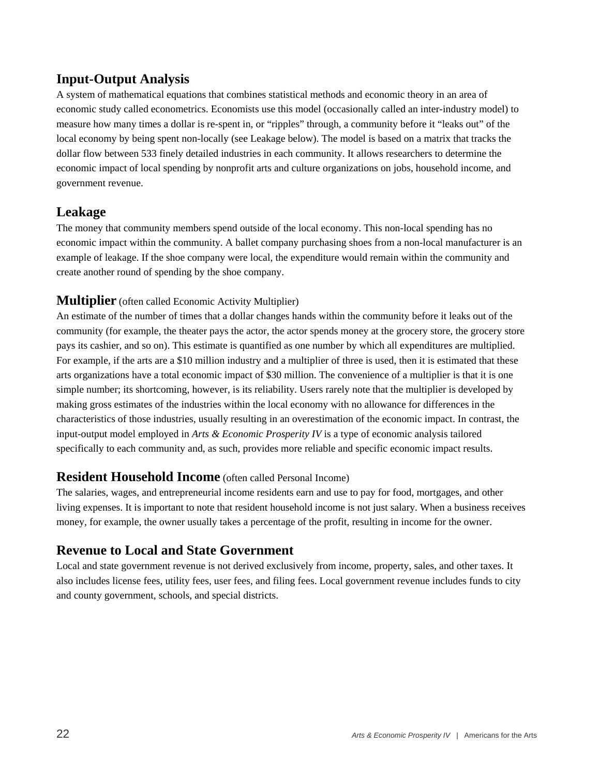#### **Input-Output Analysis**

A system of mathematical equations that combines statistical methods and economic theory in an area of economic study called econometrics. Economists use this model (occasionally called an inter-industry model) to measure how many times a dollar is re-spent in, or "ripples" through, a community before it "leaks out" of the local economy by being spent non-locally (see Leakage below). The model is based on a matrix that tracks the dollar flow between 533 finely detailed industries in each community. It allows researchers to determine the economic impact of local spending by nonprofit arts and culture organizations on jobs, household income, and government revenue.

#### **Leakage**

The money that community members spend outside of the local economy. This non-local spending has no economic impact within the community. A ballet company purchasing shoes from a non-local manufacturer is an example of leakage. If the shoe company were local, the expenditure would remain within the community and create another round of spending by the shoe company.

#### **Multiplier** (often called Economic Activity Multiplier)

An estimate of the number of times that a dollar changes hands within the community before it leaks out of the community (for example, the theater pays the actor, the actor spends money at the grocery store, the grocery store pays its cashier, and so on). This estimate is quantified as one number by which all expenditures are multiplied. For example, if the arts are a \$10 million industry and a multiplier of three is used, then it is estimated that these arts organizations have a total economic impact of \$30 million. The convenience of a multiplier is that it is one simple number; its shortcoming, however, is its reliability. Users rarely note that the multiplier is developed by making gross estimates of the industries within the local economy with no allowance for differences in the characteristics of those industries, usually resulting in an overestimation of the economic impact. In contrast, the input-output model employed in *Arts & Economic Prosperity IV* is a type of economic analysis tailored specifically to each community and, as such, provides more reliable and specific economic impact results.

#### **Resident Household Income** (often called Personal Income)

The salaries, wages, and entrepreneurial income residents earn and use to pay for food, mortgages, and other living expenses. It is important to note that resident household income is not just salary. When a business receives money, for example, the owner usually takes a percentage of the profit, resulting in income for the owner.

#### **Revenue to Local and State Government**

Local and state government revenue is not derived exclusively from income, property, sales, and other taxes. It also includes license fees, utility fees, user fees, and filing fees. Local government revenue includes funds to city and county government, schools, and special districts.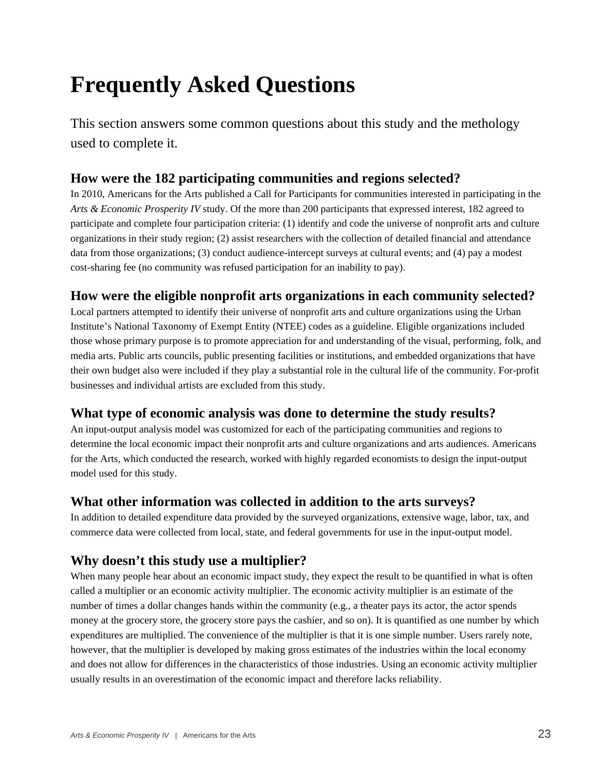# **Frequently Asked Questions**

This section answers some common questions about this study and the methology used to complete it.

#### **How were the 182 participating communities and regions selected?**

In 2010, Americans for the Arts published a Call for Participants for communities interested in participating in the *Arts & Economic Prosperity IV* study. Of the more than 200 participants that expressed interest, 182 agreed to participate and complete four participation criteria: (1) identify and code the universe of nonprofit arts and culture organizations in their study region; (2) assist researchers with the collection of detailed financial and attendance data from those organizations; (3) conduct audience-intercept surveys at cultural events; and (4) pay a modest cost-sharing fee (no community was refused participation for an inability to pay).

#### **How were the eligible nonprofit arts organizations in each community selected?**

Local partners attempted to identify their universe of nonprofit arts and culture organizations using the Urban Institute's National Taxonomy of Exempt Entity (NTEE) codes as a guideline. Eligible organizations included those whose primary purpose is to promote appreciation for and understanding of the visual, performing, folk, and media arts. Public arts councils, public presenting facilities or institutions, and embedded organizations that have their own budget also were included if they play a substantial role in the cultural life of the community. For-profit businesses and individual artists are excluded from this study.

#### **What type of economic analysis was done to determine the study results?**

An input-output analysis model was customized for each of the participating communities and regions to determine the local economic impact their nonprofit arts and culture organizations and arts audiences. Americans for the Arts, which conducted the research, worked with highly regarded economists to design the input-output model used for this study.

#### **What other information was collected in addition to the arts surveys?**

In addition to detailed expenditure data provided by the surveyed organizations, extensive wage, labor, tax, and commerce data were collected from local, state, and federal governments for use in the input-output model.

#### **Why doesn't this study use a multiplier?**

When many people hear about an economic impact study, they expect the result to be quantified in what is often called a multiplier or an economic activity multiplier. The economic activity multiplier is an estimate of the number of times a dollar changes hands within the community (e.g., a theater pays its actor, the actor spends money at the grocery store, the grocery store pays the cashier, and so on). It is quantified as one number by which expenditures are multiplied. The convenience of the multiplier is that it is one simple number. Users rarely note, however, that the multiplier is developed by making gross estimates of the industries within the local economy and does not allow for differences in the characteristics of those industries. Using an economic activity multiplier usually results in an overestimation of the economic impact and therefore lacks reliability.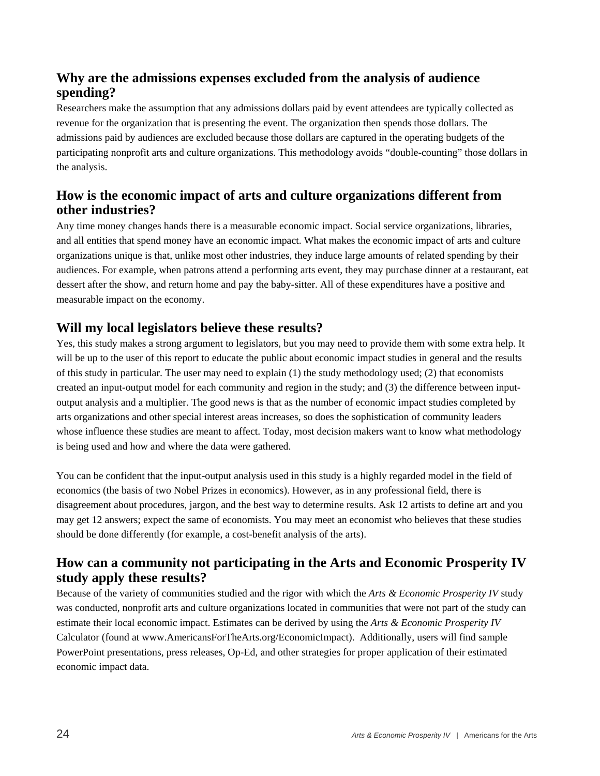#### **Why are the admissions expenses excluded from the analysis of audience spending?**

Researchers make the assumption that any admissions dollars paid by event attendees are typically collected as revenue for the organization that is presenting the event. The organization then spends those dollars. The admissions paid by audiences are excluded because those dollars are captured in the operating budgets of the participating nonprofit arts and culture organizations. This methodology avoids "double-counting" those dollars in the analysis.

#### **How is the economic impact of arts and culture organizations different from other industries?**

Any time money changes hands there is a measurable economic impact. Social service organizations, libraries, and all entities that spend money have an economic impact. What makes the economic impact of arts and culture organizations unique is that, unlike most other industries, they induce large amounts of related spending by their audiences. For example, when patrons attend a performing arts event, they may purchase dinner at a restaurant, eat dessert after the show, and return home and pay the baby-sitter. All of these expenditures have a positive and measurable impact on the economy.

## **Will my local legislators believe these results?**

Yes, this study makes a strong argument to legislators, but you may need to provide them with some extra help. It will be up to the user of this report to educate the public about economic impact studies in general and the results of this study in particular. The user may need to explain (1) the study methodology used; (2) that economists created an input-output model for each community and region in the study; and (3) the difference between inputoutput analysis and a multiplier. The good news is that as the number of economic impact studies completed by arts organizations and other special interest areas increases, so does the sophistication of community leaders whose influence these studies are meant to affect. Today, most decision makers want to know what methodology is being used and how and where the data were gathered.

You can be confident that the input-output analysis used in this study is a highly regarded model in the field of economics (the basis of two Nobel Prizes in economics). However, as in any professional field, there is disagreement about procedures, jargon, and the best way to determine results. Ask 12 artists to define art and you may get 12 answers; expect the same of economists. You may meet an economist who believes that these studies should be done differently (for example, a cost-benefit analysis of the arts).

#### **How can a community not participating in the Arts and Economic Prosperity IV study apply these results?**

Because of the variety of communities studied and the rigor with which the *Arts & Economic Prosperity IV* study was conducted, nonprofit arts and culture organizations located in communities that were not part of the study can estimate their local economic impact. Estimates can be derived by using the *Arts & Economic Prosperity IV* Calculator (found at www.AmericansForTheArts.org/EconomicImpact). Additionally, users will find sample PowerPoint presentations, press releases, Op-Ed, and other strategies for proper application of their estimated economic impact data.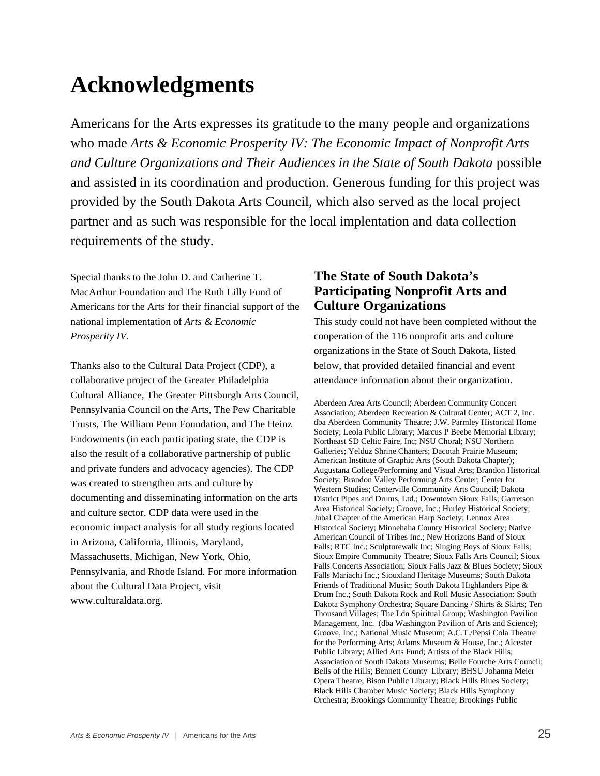# **Acknowledgments**

Americans for the Arts expresses its gratitude to the many people and organizations who made *Arts & Economic Prosperity IV: The Economic Impact of Nonprofit Arts and Culture Organizations and Their Audiences in the State of South Dakota* possible and assisted in its coordination and production. Generous funding for this project was provided by the South Dakota Arts Council, which also served as the local project partner and as such was responsible for the local implentation and data collection requirements of the study.

Special thanks to the John D. and Catherine T. MacArthur Foundation and The Ruth Lilly Fund of Americans for the Arts for their financial support of the national implementation of *Arts & Economic Prosperity IV*.

Thanks also to the Cultural Data Project (CDP), a collaborative project of the Greater Philadelphia Cultural Alliance, The Greater Pittsburgh Arts Council, Pennsylvania Council on the Arts, The Pew Charitable Trusts, The William Penn Foundation, and The Heinz Endowments (in each participating state, the CDP is also the result of a collaborative partnership of public and private funders and advocacy agencies). The CDP was created to strengthen arts and culture by documenting and disseminating information on the arts and culture sector. CDP data were used in the economic impact analysis for all study regions located in Arizona, California, Illinois, Maryland, Massachusetts, Michigan, New York, Ohio, Pennsylvania, and Rhode Island. For more information about the Cultural Data Project, visit www.culturaldata.org.

#### **The State of South Dakota's Participating Nonprofit Arts and Culture Organizations**

This study could not have been completed without the cooperation of the 116 nonprofit arts and culture organizations in the State of South Dakota, listed below, that provided detailed financial and event attendance information about their organization.

Aberdeen Area Arts Council; Aberdeen Community Concert Association; Aberdeen Recreation & Cultural Center; ACT 2, Inc. dba Aberdeen Community Theatre; J.W. Parmley Historical Home Society; Leola Public Library; Marcus P Beebe Memorial Library; Northeast SD Celtic Faire, Inc; NSU Choral; NSU Northern Galleries; Yelduz Shrine Chanters; Dacotah Prairie Museum; American Institute of Graphic Arts (South Dakota Chapter); Augustana College/Performing and Visual Arts; Brandon Historical Society; Brandon Valley Performing Arts Center; Center for Western Studies; Centerville Community Arts Council; Dakota District Pipes and Drums, Ltd.; Downtown Sioux Falls; Garretson Area Historical Society; Groove, Inc.; Hurley Historical Society; Jubal Chapter of the American Harp Society; Lennox Area Historical Society; Minnehaha County Historical Society; Native American Council of Tribes Inc.; New Horizons Band of Sioux Falls; RTC Inc.; Sculpturewalk Inc; Singing Boys of Sioux Falls; Sioux Empire Community Theatre; Sioux Falls Arts Council; Sioux Falls Concerts Association; Sioux Falls Jazz & Blues Society; Sioux Falls Mariachi Inc.; Siouxland Heritage Museums; South Dakota Friends of Traditional Music; South Dakota Highlanders Pipe & Drum Inc.; South Dakota Rock and Roll Music Association; South Dakota Symphony Orchestra; Square Dancing / Shirts & Skirts; Ten Thousand Villages; The Ldn Spiritual Group; Washington Pavilion Management, Inc. (dba Washington Pavilion of Arts and Science); Groove, Inc.; National Music Museum; A.C.T./Pepsi Cola Theatre for the Performing Arts; Adams Museum & House, Inc.; Alcester Public Library; Allied Arts Fund; Artists of the Black Hills; Association of South Dakota Museums; Belle Fourche Arts Council; Bells of the Hills; Bennett County Library; BHSU Johanna Meier Opera Theatre; Bison Public Library; Black Hills Blues Society; Black Hills Chamber Music Society; Black Hills Symphony Orchestra; Brookings Community Theatre; Brookings Public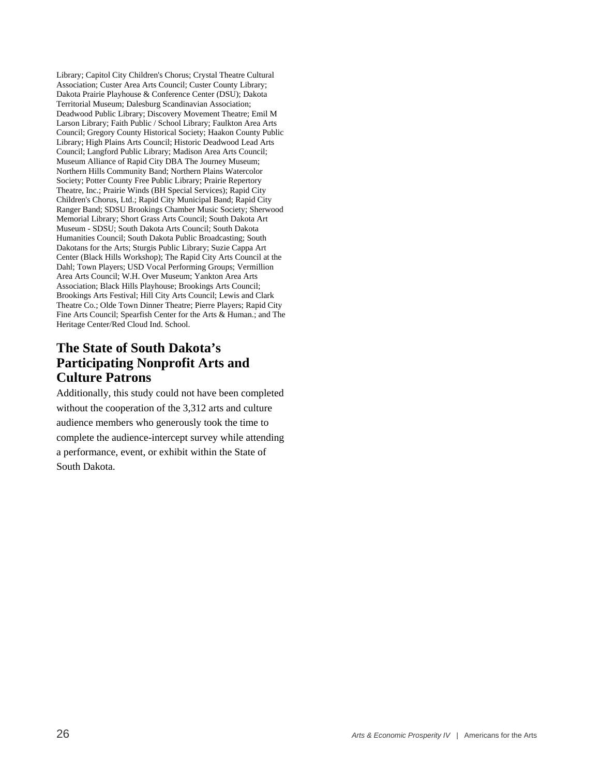Library; Capitol City Children's Chorus; Crystal Theatre Cultural Association; Custer Area Arts Council; Custer County Library; Dakota Prairie Playhouse & Conference Center (DSU); Dakota Territorial Museum; Dalesburg Scandinavian Association; Deadwood Public Library; Discovery Movement Theatre; Emil M Larson Library; Faith Public / School Library; Faulkton Area Arts Council; Gregory County Historical Society; Haakon County Public Library; High Plains Arts Council; Historic Deadwood Lead Arts Council; Langford Public Library; Madison Area Arts Council; Museum Alliance of Rapid City DBA The Journey Museum; Northern Hills Community Band; Northern Plains Watercolor Society; Potter County Free Public Library; Prairie Repertory Theatre, Inc.; Prairie Winds (BH Special Services); Rapid City Children's Chorus, Ltd.; Rapid City Municipal Band; Rapid City Ranger Band; SDSU Brookings Chamber Music Society; Sherwood Memorial Library; Short Grass Arts Council; South Dakota Art Museum - SDSU; South Dakota Arts Council; South Dakota Humanities Council; South Dakota Public Broadcasting; South Dakotans for the Arts; Sturgis Public Library; Suzie Cappa Art Center (Black Hills Workshop); The Rapid City Arts Council at the Dahl; Town Players; USD Vocal Performing Groups; Vermillion Area Arts Council; W.H. Over Museum; Yankton Area Arts Association; Black Hills Playhouse; Brookings Arts Council; Brookings Arts Festival; Hill City Arts Council; Lewis and Clark Theatre Co.; Olde Town Dinner Theatre; Pierre Players; Rapid City Fine Arts Council; Spearfish Center for the Arts & Human.; and The Heritage Center/Red Cloud Ind. School.

#### **The State of South Dakota's Participating Nonprofit Arts and Culture Patrons**

Additionally, this study could not have been completed without the cooperation of the 3,312 arts and culture audience members who generously took the time to complete the audience-intercept survey while attending a performance, event, or exhibit within the State of South Dakota.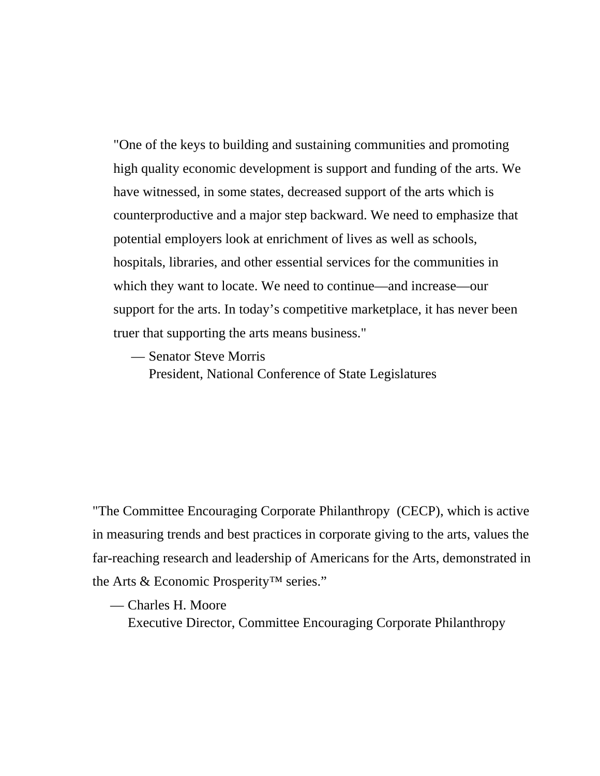"One of the keys to building and sustaining communities and promoting high quality economic development is support and funding of the arts. We have witnessed, in some states, decreased support of the arts which is counterproductive and a major step backward. We need to emphasize that potential employers look at enrichment of lives as well as schools, hospitals, libraries, and other essential services for the communities in which they want to locate. We need to continue—and increase—our support for the arts. In today's competitive marketplace, it has never been truer that supporting the arts means business."

— Senator Steve Morris

President, National Conference of State Legislatures

"The Committee Encouraging Corporate Philanthropy (CECP), which is active in measuring trends and best practices in corporate giving to the arts, values the far-reaching research and leadership of Americans for the Arts, demonstrated in the Arts & Economic Prosperity™ series."

— Charles H. Moore

Executive Director, Committee Encouraging Corporate Philanthropy